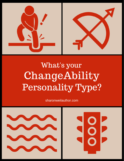

## What's your ChangeAbility Personality Type?

sharonweilauthor.com

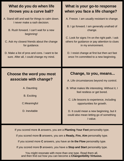| What do you do when life                                                                                | What is your go-to response                                                                                                                                                                                                |
|---------------------------------------------------------------------------------------------------------|----------------------------------------------------------------------------------------------------------------------------------------------------------------------------------------------------------------------------|
| throws you a curve ball?                                                                                | when you face a life change?                                                                                                                                                                                               |
| A. Stand still and wait for things to calm down.                                                        | A. Freeze. I am usually resistant to change.                                                                                                                                                                               |
| I never make a rash decision.                                                                           | B. I go forward. I am generally unafraid of                                                                                                                                                                                |
| B. Rush forward. I can't wait for a new                                                                 | change.                                                                                                                                                                                                                    |
| beginning!                                                                                              | C. Look for signs I'm on the right path. I ask                                                                                                                                                                             |
| C. Ask my closest friends about the change                                                              | others for guidance or pay attention to clues                                                                                                                                                                              |
| for guidance.                                                                                           | in my environment.                                                                                                                                                                                                         |
| D. Make a list of pros and cons. I want to be                                                           | D. I resist change at first but then act fast                                                                                                                                                                              |
| sure. After all, I could change my mind.                                                                | once I'm committed to a new beginning.                                                                                                                                                                                     |
|                                                                                                         |                                                                                                                                                                                                                            |
| Choose the word you most<br>associate with change?<br>A. Daunting<br><b>B.</b> Exciting<br>C.Meaningful | Change, to you, means<br>A. Life circumstances beyond my control.<br>B. What makes life interesting. Without it, I<br>feel restless or get bored.<br>C. Life lessons to experience, including<br>opportunities for growth. |

If you scored more **A** answers, you are a **Planting Your Feet** personality type.

If you scored more **B** answers, you are a **Ready, Fire, Aim** personality type.

If you scored more **C** answers, you have an **In the Flow** personality type.

If you scored more **D** answers, you have a **Stop and Start** personality type.

You might resonate with more than one type. Read them all, and then find out how you can become a **ChangeAbility Virtuoso.**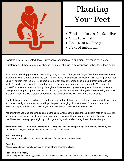

### Planting Your Feet

- Find comfort in the familiar
- Slow to adjust
- Resistant to change
- Fear of unknown

**Positive Traits:** Dedicated, loyal, trustworthy, sentimental, a guardian, reverence for history

**Challenges:** Stubborn, afraid of change, denial of change, procrastination, unhealthy attachments

If you are a "**Planting your Feet**" personality type, you resist change. You might fear the unknown of what's ahead, and when change comes into your life, you come to a standstill. Because of this, you might even feel stuck in life from time to time. For example, you might stay at your job despite being unsatisfied with your work. Or maybe you stay in the same house even though it no longer meets your needs. You may tell yourself, it's easier to stay put than go through the hassle of starting something new. However, sometimes, change is exciting and opens doors of possibility in your life. Sometimes, change is uncomfortably inevitable, and other times, it is like a breath of fresh air! The question is: How will you move with change?

You look back on your life with reverence for history and nostalgia. You have learned to appreciate life's ups and downs, and you are steadfast and loyal despite challenging circumstances. Your friends and family members might consider you a reliable, dependable person upon whom they can rely.

You might find yourself adopting coping mechanisms when change happens. You might hold on to material possessions, collecting objects from past experiences. You could tend to eat more during times of change, too. These are two ways you might try to find grounding and stability during times of rapid change.

**What might help**? Of the **Seven Principles for Change** outlined in *ChangeAbility: How Artists, Activists, and Awakeners Navigate Change*, these are ones that are best for you:

#### **Find Community**

Seek support from others and connect with friends. Remember you are not alone.

#### **Spark Fire**

Allow passion to fuel your change. Act on behalf of who or what you love.

#### **Proceed Incrementally**

Adopt a step-by-step strategy, focusing on one move at a time. Outline a plan, and course-correct if necessary.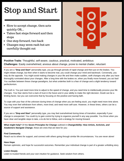## Stop and Start

- Slow to accept change, then acts quickly OR...
- Takes fast steps forward and then stops
- One step forward, two back
- Changes may seem rash but are carefully thought out

**Positive Traits**: Thoughtful, self-aware, cautious, practical, motivated, ambitious **Challenges**: Easily overwhelmed, anxious about change, prone to mental chatter, reluctant

If you are a "**Stop and Start**" personality type, you go through periods of rapid change and then put on the brakes. You might initiate change, but then when it starts to become real, you could change your mind and backtrack. Conversely, you may do the opposite. You might avoid making changes in your life and then make sudden, swift changes only after you have thoroughly ruminated about your changes. After a long time with the brakes on, when you finally move forward, you act fast! You vacillate between these change paradigms, but what underlies both is a fear of change and a slight tendency toward perfectionism.

The truth is: You just need more time to adjust to the speed of change, and you need time to intellectually process your life changes. Your fear stems from a lack of trust in the future and in your ability to make the right decision. Doubt can be a limiting factor, but you can overcome that by focusing on the positive and having faith.

To cope with your fear of the unknown during times of change when you are feeling stuck, you might need more time alone. You may even feel withdrawn from others, more tired, and need more self-care. However, in these times, others can be a source of support and assistance.

If you are a "**Stop and Start**" personality type, you may feel overwhelmed during times of transition, especially if your change is unexpected. You could try to gain control by trying to organize yourself in any way possible. You thrive when you have clear and tangible steps to take, a to-do list to follow, and a strategy for moving forward.

**What might help?** Of the **Seven Principles for Change** outlined in *ChangeAbility: How Artists, Activists, and Awakeners Navigate Change*, these are ones that are best for you:

#### **Find Community**

Reach out to others for support, and connect with others going through similar life circumstances. You are never alone!

#### **Have Hope**

Remain optimistic, and hope for successful outcomes. Remember your individual change is part of a greater unfolding story.

#### **Listen Deeply**

Listen to trusted friends and your own intuition for guidance. Seek wisdom from others.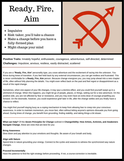## Ready, Fire, Aim

- Impulsive
- Risk-taker, you'll take a chance
- Make a change before you have a fully-formed plan
- Might change your mind



**Positive Traits:** Innately hopeful, enthusiastic, courageous, adventurous, self-directed, determined **Challenges:** Impulsive, anxious, restless, easily distracted, scattered

If you are a "**Ready, Fire, Aim**" personality type, you crave adventure and the excitement of racing into the unknown. You thrive during times of transition. If you feel held back by any external circumstances, you can get restless and frustrated. This is never comfortable for a **Ready, Fire, Aim** person. Because change energizes you, you may jump ahead into a new chapter of life, often without fully planning the details. You might even reflect back on the past and feel regret or disappointment as a result of the rapid change.

Sometimes, when one aspect of your life changes, it may spur a domino effect, and you could find yourself swept up in a whirlwind of change. When this happens, you might let go of people, places, or things, setting out for a new adventure. On the positive side, you are not affected by fear or resistance, and you may even have an extra dose of courage propelling you forward. On the downside, however, you could experience grief later in life, after the change settles and you finally have a chance to reflect.

You might find yourself staying busy as a coping mechanism to keep from allowing fear to creep into your conscious awareness. In order to maintain momentum, you move fast, often without letting anyone's opinions dissuade you from going ahead. During times of change, you benefit from grounding, finding stability, and taking things a bit slower.

**What can help?** Of the *Seven Principles for Change* outlined in **ChangeAbility: How Artists, Activists, and Awakeners Navigate Change**, these are ones that are best for you:

#### **Bring Awareness**

Slow down and pay attention to your emotions and thoughts. Be aware of your breath and body.

#### **Align with Nature**

Spend time in nature grounding your energy. Connect to the cycles and seasons to witness the synchronized way nature changes.

### **Proceed Incrementally**

Have the patience to find the right strategy before proceeding. If not, a course-correction is inevitable.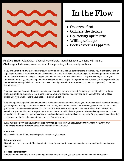

### In the Flow

- Observes first
- Gathers the details
- Cautiously optimistic
- Willing to let go
- Seeks external approval

**Positive Traits**: Adaptable, relational, considerate, thoughtful, aware, in tune with nature **Challenges**: Indecisive, insecure, fear of disappointing others, overly analytical

If you are an "**In the Flow**" personality type, you wait for external signals before making a change. You might follow signs or signals you receive in your environment. The symbolism of the hawk flying overhead might be a message for you. You seek others' opinions before initiating a change in your life and check for validation. When unexpected changes occur, you observe before acting, and you step into the existing current of change. Once you do make a move, you allow yourself to be carried and remain optimistic about the outcomes. You might even look for a greater purpose or ask yourself, "What can I learn from this?"

Your own changes flow with those of others in your life and in your environment. At times, you might feel led by these shifting currents, and you might feel a need to direct your own course. Insecurity can be an issue for the **In the Flow** personality type, which leads to your need for external validation.

Your change challenge is that you can rely too much on external sources to inform your internal sense of direction. You love gathering data, making lists of pros and cons, and hearing what others have to say. However, you run into problems when you have too many contrasting ideas. You can become indecisive analyzing all of that information! Your best bet? Pay attention to your intuition and trust your heart. As an other-directed individual, you are caring and compassionate, in tune with others. In times of change, focus on your needs and desires. Self-care is extra important for you, as well as maintaining a step-by-step plan to help you maintain a sense of order in your life.

**What might help**? Of the **Seven Principles for Change** outlined in *ChangeAbility: How Artists, Activists, and Awakeners Navigate Change*, these are ones that are best for you:

#### **Spark Fire**

Find passion from within to motivate you to move through change.

#### **Bring Awareness**

Listen to only those you trust. Most importantly, listen to your heart. You might even journal or meditate to tune into your intuition.

### **Proceed Incrementally**

Understand that when the current of change takes you too far afield, you can stop and make course-corrections.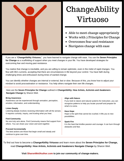

## ChangeAbility Virtuoso

- Able to meet change appropriately
- Works with 7 Principles for Change
- Overcomes fear and resistance
- Navigates change with ease

Add a little bit of body text **for Change** as a scaffolding of support when you meet changes in your life. You have developed strategies for If you are a "**ChangeAbility Virtuoso,**" you have learned to navigate change with ease. You use the **Seven Principles** overcoming fear and moving past resistance.

You realize that change is inevitable, and you are willing to remain optimistic, even in the midst of rapid changes. You flow with life's currents, accepting that there are circumstances in life beyond your control. You have faith during challenging times and enthusiasm during times of wanted change.

You can identify whether changes are internal or external, fast or slow. Because of this, you know how to adjust your mindset to avoid procrastination or resistance. You help others navigate their own life changes.

Here are the **Seven Principles for Change** outlined in **ChangeAbility: How Artists, Activists and Awakeners Navigate Change** by Sharon Weil.

#### **Bring Awareness**

Awareness can be experienced through sensation, perception, emotion, information, and understanding.

#### **Listen Deeply**

Listening deeply involves receiving information with all the senses. It requires curiosity, inquiry, and trusting what you hear.

#### **Find Community**

No one truly acts alone. Find Community means find support from others. You can share your vision and work together.

#### **Proceed Incrementally**

The best actions are those that begin small and steady and continue to grow over time.

#### **Align with Nature**

If you look to nature and natural systems for instruction, you can recognize patterns to help you locate yourself and prepare for what's to come.

#### **Have Hope** Hope is the spirit that cannot be crushed. It lifts you to new possibilities.

**Spark Fire** It is the heat that kindles passion and courage. It can burn through obstacles and fear.

To find out how to become a **ChangeAbility Virtuoso** and learn more about the **Seven Principles for Change,** read **ChangeAbility: How Artists, Activists and Awakeners Navigate Change** by Sharon Weil.

**Visit SharonWeilAuthor.com to join our community of change-makers.**